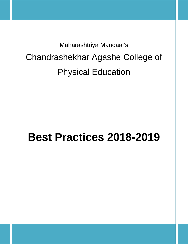Maharashtriya Mandaal's Chandrashekhar Agashe College of Physical Education

# **Best Practices 2018-2019**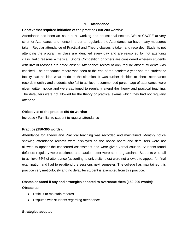#### **1. Attendance**

#### **Context that required initiation of the practice (100-200 words):**

Attendance has been an issue at all working and educational sectors. We at CACPE at very strict for Attendance and hence in order to regularize the Attendance we have many measures taken. Regular attendance of Practical and Theory classes is taken and recorded. Students not attending the program or class are identified every day and are reasoned for not attending class. Valid reasons – medical, Sports Competition or others are considered whereas students with invalid reasons are noted absent. Attendance record of only regular absent students was checked. The attendance record was seen at the end of the academic year and the student or faculty had no idea what to do of the situation. It was further decided to check attendance records monthly and students who fail to achieve recommended percentage of attendance were given written notice and were cautioned to regularly attend the theory and practical teaching. The defaulters were not allowed for the theory or practical exams which they had not regularly attended.

#### **Objectives of the practice (50-60 words):**

Increase / Familiarize student to regular attendance

#### **Practice (250-300 words):**

Attendance for Theory and Practical teaching was recorded and maintained. Monthly notice showing attendance records were displayed on the notice board and defaulters were not allowed to appear the concerned assessment and were given verbal caution. Students found defulters regularly were cautioned and caution letter were sent to guardians. Students who fail to achieve 75% of attendance (according to university rules) were not allowed to appear for final examination and had to re-attend the sessions next semester. The college has maintained this practice very meticulously and no defaulter student is exempted from this practice.

## **Obstacles faced if any and strategies adopted to overcome them (150-200 words): Obstacles:**

- Difficult to maintain records
- Disputes with students regarding attendance

#### **Strategies adopted:**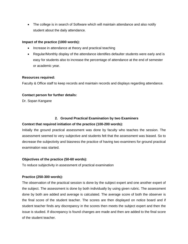• The college is in search of Software which will maintain attendance and also notify student about the daily attendance.

## **Impact of the practice (1000 words):**

- Increase in attendance at theory and practical teaching
- Regular/Monthly display of the attendance identifies defaulter students were early and is easy for students also to increase the percentage of attendance at the end of semester or academic year.

#### **Resources required:**

Faculty & Office staff to keep records and maintain records and displays regarding attendance.

## **Contact person for further details:**

Dr. Sopan Kangane

## **2. Ground Practical Examination by two Examiners**

## **Context that required initiation of the practice (100-200 words):**

Initially the ground practical assessment was done by faculty who teaches the session. The assessment seemed to very subjective and students felt that the assessment was biased. So to decrease the subjectivity and biasness the practice of having two examiners for ground practical examination was started.

## **Objectives of the practice (50-60 words):**

To reduce subjectivity in assessment of practical examination

## **Practice (250-300 words):**

The observation of the practical session is done by the subject expert and one another expert of the subject. The assessment is done by both individually by using given rubric. The assessment done by both are added and average is calculated. The average score of both the observer is the final score of the student teacher. The scores are then displayed on notice board and if student teacher finds any discrepancy in the scores then meets the subject expert and then the issue is studied. If discrepancy is found changes are made and then are added to the final score of the student teacher.